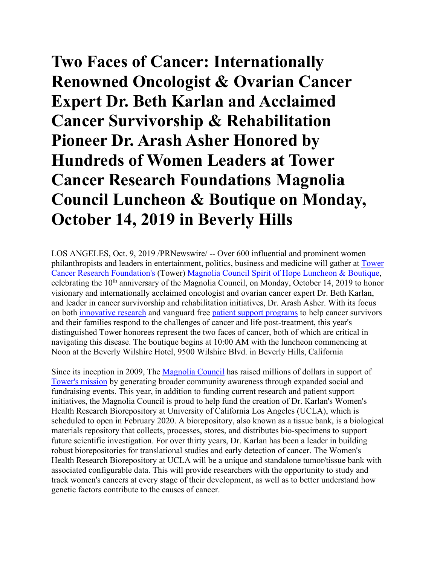## **Two Faces of Cancer: Internationally Renowned Oncologist & Ovarian Cancer Expert Dr. Beth Karlan and Acclaimed Cancer Survivorship & Rehabilitation Pioneer Dr. Arash Asher Honored by Hundreds of Women Leaders at Tower Cancer Research Foundations Magnolia Council Luncheon & Boutique on Monday, October 14, 2019 in Beverly Hills**

LOS ANGELES, Oct. 9, 2019 /PRNewswire/ -- Over 600 influential and prominent women philanthropists and leaders in entertainment, politics, business and medicine will gather at [Tower](https://c212.net/c/link/?t=0&l=en&o=2605318-1&h=66947362&u=http%3A%2F%2Ftowercancer.org%2F&a=Tower+Cancer+Research+Foundation%27s)  [Cancer Research Foundation's](https://c212.net/c/link/?t=0&l=en&o=2605318-1&h=66947362&u=http%3A%2F%2Ftowercancer.org%2F&a=Tower+Cancer+Research+Foundation%27s) (Tower) [Magnolia Council](https://c212.net/c/link/?t=0&l=en&o=2605318-1&h=1823037347&u=http%3A%2F%2Ftowercancer.org%2Fthe-magnolia-council%2F&a=Magnolia+Council) [Spirit of Hope Luncheon & Boutique,](https://c212.net/c/link/?t=0&l=en&o=2605318-1&h=4276449401&u=https%3A%2F%2Fwww.towercancer.org%2F2019-luncheon-ticket-page%2F&a=Spirit+of+Hope+Luncheon+%26+Boutique) celebrating the 10<sup>th</sup> anniversary of the Magnolia Council, on Monday, October 14, 2019 to honor visionary and internationally acclaimed oncologist and ovarian cancer expert Dr. Beth Karlan, and leader in cancer survivorship and rehabilitation initiatives, Dr. Arash Asher. With its focus on both [innovative research](https://c212.net/c/link/?t=0&l=en&o=2605318-1&h=1096050511&u=https%3A%2F%2Fwww.towercancer.org%2Fresearch-grants-about%2F&a=innovative+research) and vanguard free [patient support programs](https://c212.net/c/link/?t=0&l=en&o=2605318-1&h=1970315711&u=https%3A%2F%2Fwww.towercancer.org%2Fmagnolia-house-2%2F&a=patient+support+programs) to help cancer survivors and their families respond to the challenges of cancer and life post-treatment, this year's distinguished Tower honorees represent the two faces of cancer, both of which are critical in navigating this disease. The boutique begins at 10:00 AM with the luncheon commencing at Noon at the Beverly Wilshire Hotel, 9500 Wilshire Blvd. in Beverly Hills, California

Since its inception in 2009, The [Magnolia Council](https://c212.net/c/link/?t=0&l=en&o=2605318-1&h=1823037347&u=http%3A%2F%2Ftowercancer.org%2Fthe-magnolia-council%2F&a=Magnolia+Council) has raised millions of dollars in support of [Tower's mission](https://c212.net/c/link/?t=0&l=en&o=2605318-1&h=1295760518&u=https%3A%2F%2Fwww.towercancer.org%2Ftcrf-what-we-fund%2F&a=Tower%27s+mission) by generating broader community awareness through expanded social and fundraising events. This year, in addition to funding current research and patient support initiatives, the Magnolia Council is proud to help fund the creation of Dr. Karlan's Women's Health Research Biorepository at University of California Los Angeles (UCLA), which is scheduled to open in February 2020. A biorepository, also known as a tissue bank, is a biological materials repository that collects, processes, stores, and distributes bio-specimens to support future scientific investigation. For over thirty years, Dr. Karlan has been a leader in building robust biorepositories for translational studies and early detection of cancer. The Women's Health Research Biorepository at UCLA will be a unique and standalone tumor/tissue bank with associated configurable data. This will provide researchers with the opportunity to study and track women's cancers at every stage of their development, as well as to better understand how genetic factors contribute to the causes of cancer.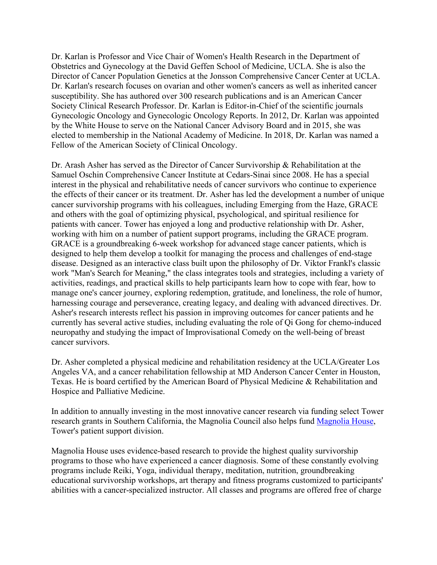Dr. Karlan is Professor and Vice Chair of Women's Health Research in the Department of Obstetrics and Gynecology at the David Geffen School of Medicine, UCLA. She is also the Director of Cancer Population Genetics at the Jonsson Comprehensive Cancer Center at UCLA. Dr. Karlan's research focuses on ovarian and other women's cancers as well as inherited cancer susceptibility. She has authored over 300 research publications and is an American Cancer Society Clinical Research Professor. Dr. Karlan is Editor-in-Chief of the scientific journals Gynecologic Oncology and Gynecologic Oncology Reports. In 2012, Dr. Karlan was appointed by the White House to serve on the National Cancer Advisory Board and in 2015, she was elected to membership in the National Academy of Medicine. In 2018, Dr. Karlan was named a Fellow of the American Society of Clinical Oncology.

Dr. Arash Asher has served as the Director of Cancer Survivorship & Rehabilitation at the Samuel Oschin Comprehensive Cancer Institute at Cedars-Sinai since 2008. He has a special interest in the physical and rehabilitative needs of cancer survivors who continue to experience the effects of their cancer or its treatment. Dr. Asher has led the development a number of unique cancer survivorship programs with his colleagues, including Emerging from the Haze, GRACE and others with the goal of optimizing physical, psychological, and spiritual resilience for patients with cancer. Tower has enjoyed a long and productive relationship with Dr. Asher, working with him on a number of patient support programs, including the GRACE program. GRACE is a groundbreaking 6-week workshop for advanced stage cancer patients, which is designed to help them develop a toolkit for managing the process and challenges of end-stage disease. Designed as an interactive class built upon the philosophy of Dr. Viktor Frankl's classic work "Man's Search for Meaning," the class integrates tools and strategies, including a variety of activities, readings, and practical skills to help participants learn how to cope with fear, how to manage one's cancer journey, exploring redemption, gratitude, and loneliness, the role of humor, harnessing courage and perseverance, creating legacy, and dealing with advanced directives. Dr. Asher's research interests reflect his passion in improving outcomes for cancer patients and he currently has several active studies, including evaluating the role of Qi Gong for chemo-induced neuropathy and studying the impact of Improvisational Comedy on the well-being of breast cancer survivors.

Dr. Asher completed a physical medicine and rehabilitation residency at the UCLA/Greater Los Angeles VA, and a cancer rehabilitation fellowship at MD Anderson Cancer Center in Houston, Texas. He is board certified by the American Board of Physical Medicine & Rehabilitation and Hospice and Palliative Medicine.

In addition to annually investing in the most innovative cancer research via funding select Tower research grants in Southern California, the Magnolia Council also helps fund [Magnolia House,](https://c212.net/c/link/?t=0&l=en&o=2605318-1&h=57180487&u=https%3A%2F%2Fwww.towercancer.org%2Fmagnolia-house-2%2F&a=Magnolia+House) Tower's patient support division.

Magnolia House uses evidence-based research to provide the highest quality survivorship programs to those who have experienced a cancer diagnosis. Some of these constantly evolving programs include Reiki, Yoga, individual therapy, meditation, nutrition, groundbreaking educational survivorship workshops, art therapy and fitness programs customized to participants' abilities with a cancer-specialized instructor. All classes and programs are offered free of charge